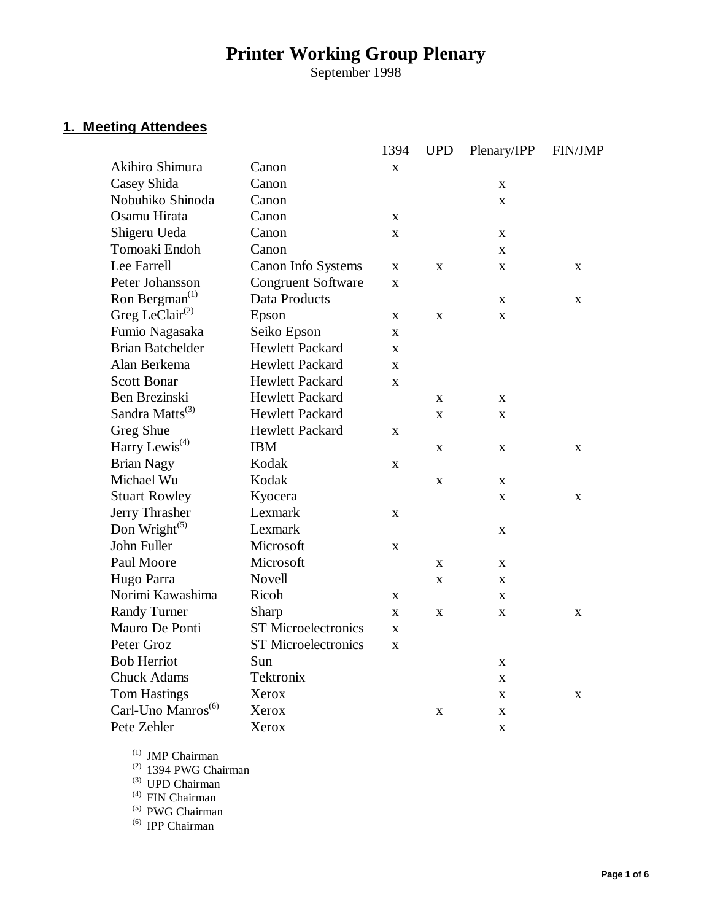# **Printer Working Group Plenary**

September 1998

# **1. Meeting Attendees**

|                                |                            | 1394         | <b>UPD</b>  | Plenary/IPP  | <b>FIN/JMP</b> |
|--------------------------------|----------------------------|--------------|-------------|--------------|----------------|
| Akihiro Shimura                | Canon                      | $\mathbf X$  |             |              |                |
| Casey Shida                    | Canon                      |              |             | $\mathbf X$  |                |
| Nobuhiko Shinoda               | Canon                      |              |             | $\mathbf X$  |                |
| Osamu Hirata                   | Canon                      | X            |             |              |                |
| Shigeru Ueda                   | Canon                      | $\mathbf X$  |             | $\mathbf X$  |                |
| Tomoaki Endoh                  | Canon                      |              |             | X            |                |
| Lee Farrell                    | Canon Info Systems         | X            | X           | X            | X              |
| Peter Johansson                | <b>Congruent Software</b>  | X            |             |              |                |
| Ron Bergman <sup>(1)</sup>     | Data Products              |              |             | $\mathbf X$  | X              |
| Greg LeClair $^{(2)}$          | Epson                      | X            | $\mathbf X$ | $\mathbf X$  |                |
| Fumio Nagasaka                 | Seiko Epson                | X            |             |              |                |
| <b>Brian Batchelder</b>        | <b>Hewlett Packard</b>     | $\mathbf X$  |             |              |                |
| Alan Berkema                   | <b>Hewlett Packard</b>     | $\mathbf{x}$ |             |              |                |
| <b>Scott Bonar</b>             | Hewlett Packard            | $\bf{X}$     |             |              |                |
| Ben Brezinski                  | <b>Hewlett Packard</b>     |              | X           | X            |                |
| Sandra Matts <sup>(3)</sup>    | <b>Hewlett Packard</b>     |              | $\mathbf X$ | $\mathbf X$  |                |
| Greg Shue                      | Hewlett Packard            | X            |             |              |                |
| Harry Lewis <sup>(4)</sup>     | <b>IBM</b>                 |              | X           | $\mathbf X$  | X              |
| <b>Brian Nagy</b>              | Kodak                      | $\mathbf X$  |             |              |                |
| Michael Wu                     | Kodak                      |              | X           | $\mathbf X$  |                |
| <b>Stuart Rowley</b>           | Kyocera                    |              |             | $\mathbf X$  | X              |
| Jerry Thrasher                 | Lexmark                    | $\mathbf X$  |             |              |                |
| Don Wright $(5)$               | Lexmark                    |              |             | $\mathbf X$  |                |
| John Fuller                    | Microsoft                  | X            |             |              |                |
| Paul Moore                     | Microsoft                  |              | X           | $\mathbf X$  |                |
| Hugo Parra                     | <b>Novell</b>              |              | X           | $\mathbf X$  |                |
| Norimi Kawashima               | Ricoh                      | $\mathbf X$  |             | $\mathbf{x}$ |                |
| <b>Randy Turner</b>            | Sharp                      | $\mathbf X$  | X           | $\mathbf X$  | X              |
| Mauro De Ponti                 | <b>ST Microelectronics</b> | $\mathbf X$  |             |              |                |
| Peter Groz                     | <b>ST</b> Microelectronics | $\mathbf X$  |             |              |                |
| <b>Bob Herriot</b>             | Sun                        |              |             | X            |                |
| <b>Chuck Adams</b>             | Tektronix                  |              |             | $\mathbf X$  |                |
| <b>Tom Hastings</b>            | Xerox                      |              |             | $\mathbf X$  | X              |
| Carl-Uno Manros <sup>(6)</sup> | Xerox                      |              | X           | $\mathbf X$  |                |
| Pete Zehler                    | Xerox                      |              |             | $\mathbf X$  |                |

(1) JMP Chairman

 $(2)$  1394 PWG Chairman

 $(3)$  UPD Chairman

 $^{(4)}$  FIN Chairman

(5) PWG Chairman

(6) IPP Chairman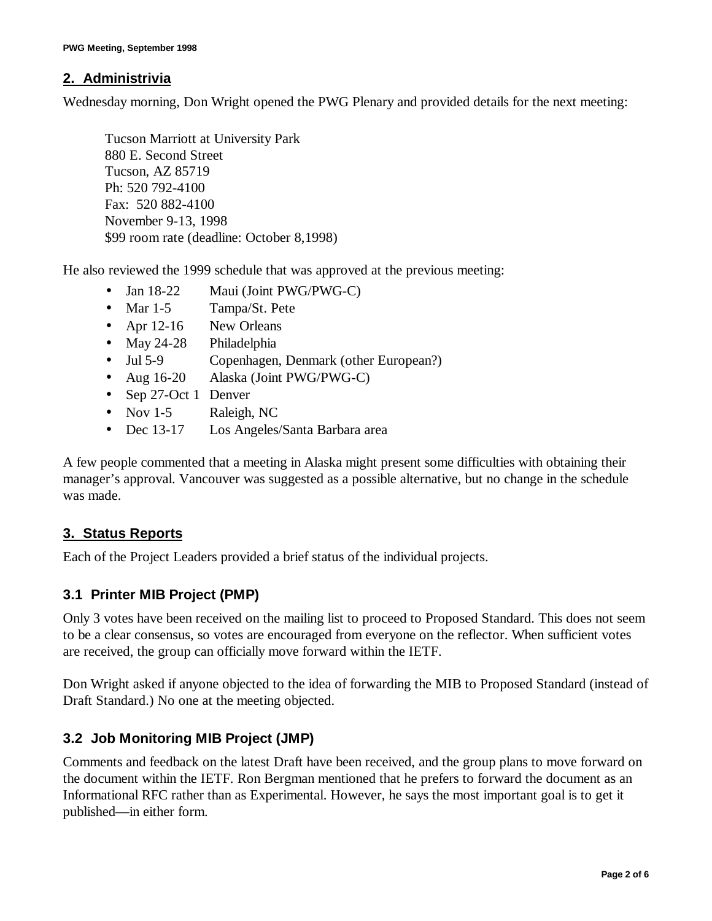#### **2. Administrivia**

Wednesday morning, Don Wright opened the PWG Plenary and provided details for the next meeting:

Tucson Marriott at University Park 880 E. Second Street Tucson, AZ 85719 Ph: 520 792-4100 Fax: 520 882-4100 November 9-13, 1998 \$99 room rate (deadline: October 8,1998)

He also reviewed the 1999 schedule that was approved at the previous meeting:

- Jan 18-22 Maui (Joint PWG/PWG-C)
- Mar 1-5 Tampa/St. Pete
- Apr 12-16 New Orleans
- May 24-28 Philadelphia
- Jul 5-9 Copenhagen, Denmark (other European?)
- Aug 16-20 Alaska (Joint PWG/PWG-C)
- Sep 27-Oct 1 Denver
- Nov 1-5 Raleigh, NC
- Dec 13-17 Los Angeles/Santa Barbara area

A few people commented that a meeting in Alaska might present some difficulties with obtaining their manager's approval. Vancouver was suggested as a possible alternative, but no change in the schedule was made.

#### **3. Status Reports**

Each of the Project Leaders provided a brief status of the individual projects.

#### **3.1 Printer MIB Project (PMP)**

Only 3 votes have been received on the mailing list to proceed to Proposed Standard. This does not seem to be a clear consensus, so votes are encouraged from everyone on the reflector. When sufficient votes are received, the group can officially move forward within the IETF.

Don Wright asked if anyone objected to the idea of forwarding the MIB to Proposed Standard (instead of Draft Standard.) No one at the meeting objected.

#### **3.2 Job Monitoring MIB Project (JMP)**

Comments and feedback on the latest Draft have been received, and the group plans to move forward on the document within the IETF. Ron Bergman mentioned that he prefers to forward the document as an Informational RFC rather than as Experimental. However, he says the most important goal is to get it published— in either form.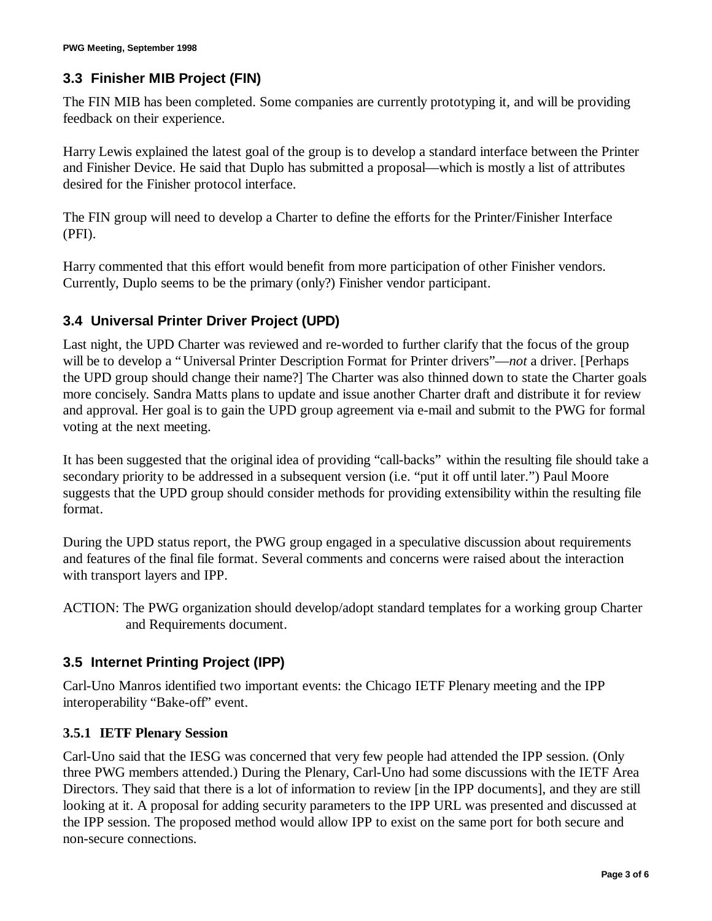# **3.3 Finisher MIB Project (FIN)**

The FIN MIB has been completed. Some companies are currently prototyping it, and will be providing feedback on their experience.

Harry Lewis explained the latest goal of the group is to develop a standard interface between the Printer and Finisher Device. He said that Duplo has submitted a proposal— which is mostly a list of attributes desired for the Finisher protocol interface.

The FIN group will need to develop a Charter to define the efforts for the Printer/Finisher Interface (PFI).

Harry commented that this effort would benefit from more participation of other Finisher vendors. Currently, Duplo seems to be the primary (only?) Finisher vendor participant.

# **3.4 Universal Printer Driver Project (UPD)**

Last night, the UPD Charter was reviewed and re-worded to further clarify that the focus of the group will be to develop a "Universal Printer Description Format for Printer drivers"— *not* a driver. [Perhaps the UPD group should change their name?] The Charter was also thinned down to state the Charter goals more concisely. Sandra Matts plans to update and issue another Charter draft and distribute it for review and approval. Her goal is to gain the UPD group agreement via e-mail and submit to the PWG for formal voting at the next meeting.

It has been suggested that the original idea of providing "call-backs" within the resulting file should take a secondary priority to be addressed in a subsequent version (i.e. "put it off until later.") Paul Moore suggests that the UPD group should consider methods for providing extensibility within the resulting file format.

During the UPD status report, the PWG group engaged in a speculative discussion about requirements and features of the final file format. Several comments and concerns were raised about the interaction with transport layers and IPP.

ACTION: The PWG organization should develop/adopt standard templates for a working group Charter and Requirements document.

# **3.5 Internet Printing Project (IPP)**

Carl-Uno Manros identified two important events: the Chicago IETF Plenary meeting and the IPP interoperability "Bake-off" event.

#### **3.5.1 IETF Plenary Session**

Carl-Uno said that the IESG was concerned that very few people had attended the IPP session. (Only three PWG members attended.) During the Plenary, Carl-Uno had some discussions with the IETF Area Directors. They said that there is a lot of information to review [in the IPP documents], and they are still looking at it. A proposal for adding security parameters to the IPP URL was presented and discussed at the IPP session. The proposed method would allow IPP to exist on the same port for both secure and non-secure connections.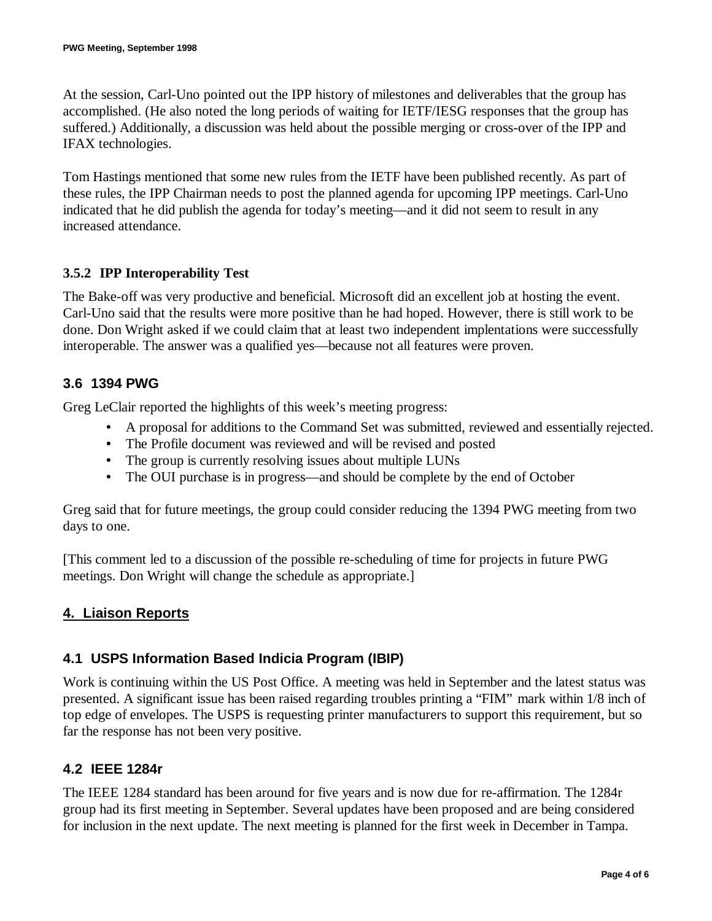At the session, Carl-Uno pointed out the IPP history of milestones and deliverables that the group has accomplished. (He also noted the long periods of waiting for IETF/IESG responses that the group has suffered.) Additionally, a discussion was held about the possible merging or cross-over of the IPP and IFAX technologies.

Tom Hastings mentioned that some new rules from the IETF have been published recently. As part of these rules, the IPP Chairman needs to post the planned agenda for upcoming IPP meetings. Carl-Uno indicated that he did publish the agenda for today's meeting— and it did not seem to result in any increased attendance.

#### **3.5.2 IPP Interoperability Test**

The Bake-off was very productive and beneficial. Microsoft did an excellent job at hosting the event. Carl-Uno said that the results were more positive than he had hoped. However, there is still work to be done. Don Wright asked if we could claim that at least two independent implentations were successfully interoperable. The answer was a qualified yes— because not all features were proven.

# **3.6 1394 PWG**

Greg LeClair reported the highlights of this week's meeting progress:

- A proposal for additions to the Command Set was submitted, reviewed and essentially rejected.
- The Profile document was reviewed and will be revised and posted
- The group is currently resolving issues about multiple LUNs
- The OUI purchase is in progress—and should be complete by the end of October

Greg said that for future meetings, the group could consider reducing the 1394 PWG meeting from two days to one.

[This comment led to a discussion of the possible re-scheduling of time for projects in future PWG meetings. Don Wright will change the schedule as appropriate.]

# **4. Liaison Reports**

# **4.1 USPS Information Based Indicia Program (IBIP)**

Work is continuing within the US Post Office. A meeting was held in September and the latest status was presented. A significant issue has been raised regarding troubles printing a "FIM" mark within 1/8 inch of top edge of envelopes. The USPS is requesting printer manufacturers to support this requirement, but so far the response has not been very positive.

#### **4.2 IEEE 1284r**

The IEEE 1284 standard has been around for five years and is now due for re-affirmation. The 1284r group had its first meeting in September. Several updates have been proposed and are being considered for inclusion in the next update. The next meeting is planned for the first week in December in Tampa.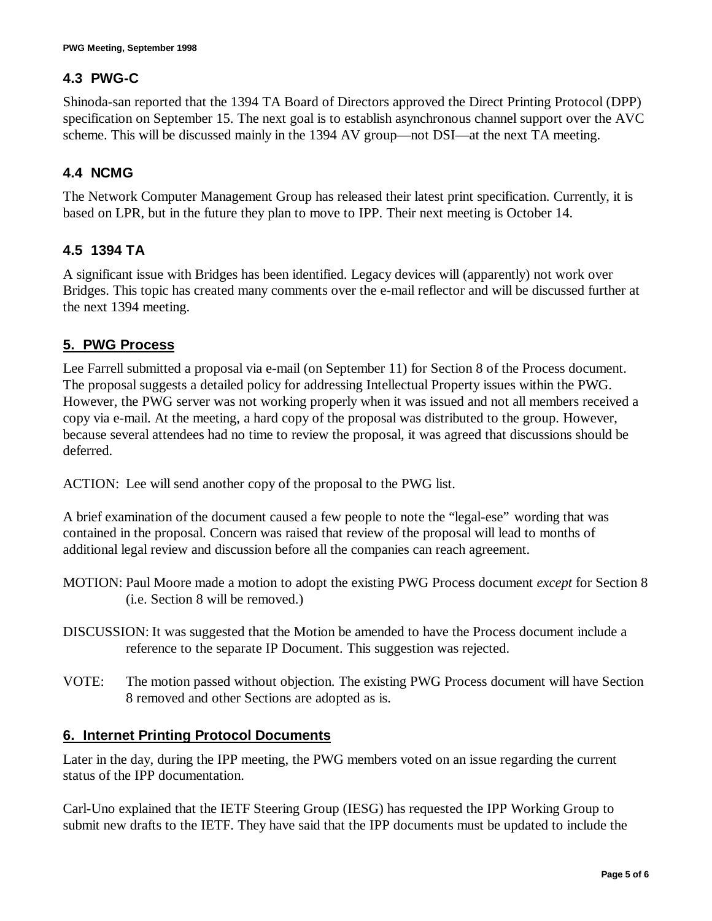# **4.3 PWG-C**

Shinoda-san reported that the 1394 TA Board of Directors approved the Direct Printing Protocol (DPP) specification on September 15. The next goal is to establish asynchronous channel support over the AVC scheme. This will be discussed mainly in the 1394 AV group—not DSI—at the next TA meeting.

# **4.4 NCMG**

The Network Computer Management Group has released their latest print specification. Currently, it is based on LPR, but in the future they plan to move to IPP. Their next meeting is October 14.

#### **4.5 1394 TA**

A significant issue with Bridges has been identified. Legacy devices will (apparently) not work over Bridges. This topic has created many comments over the e-mail reflector and will be discussed further at the next 1394 meeting.

# **5. PWG Process**

Lee Farrell submitted a proposal via e-mail (on September 11) for Section 8 of the Process document. The proposal suggests a detailed policy for addressing Intellectual Property issues within the PWG. However, the PWG server was not working properly when it was issued and not all members received a copy via e-mail. At the meeting, a hard copy of the proposal was distributed to the group. However, because several attendees had no time to review the proposal, it was agreed that discussions should be deferred.

ACTION: Lee will send another copy of the proposal to the PWG list.

A brief examination of the document caused a few people to note the "legal-ese" wording that was contained in the proposal. Concern was raised that review of the proposal will lead to months of additional legal review and discussion before all the companies can reach agreement.

- MOTION: Paul Moore made a motion to adopt the existing PWG Process document *except* for Section 8 (i.e. Section 8 will be removed.)
- DISCUSSION: It was suggested that the Motion be amended to have the Process document include a reference to the separate IP Document. This suggestion was rejected.
- VOTE: The motion passed without objection. The existing PWG Process document will have Section 8 removed and other Sections are adopted as is.

#### **6. Internet Printing Protocol Documents**

Later in the day, during the IPP meeting, the PWG members voted on an issue regarding the current status of the IPP documentation.

Carl-Uno explained that the IETF Steering Group (IESG) has requested the IPP Working Group to submit new drafts to the IETF. They have said that the IPP documents must be updated to include the